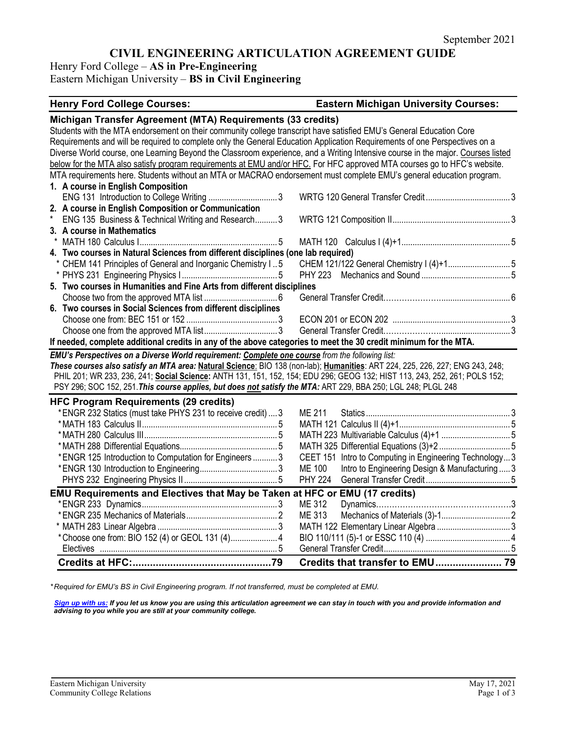# **CIVIL ENGINEERING ARTICULATION AGREEMENT GUIDE**

Henry Ford College – **AS in Pre-Engineering**

Eastern Michigan University – **BS in Civil Engineering**

# **Henry Ford College Courses: Eastern Michigan University Courses:**

| Michigan Transfer Agreement (MTA) Requirements (33 credits)                                                                     |                                                                 |
|---------------------------------------------------------------------------------------------------------------------------------|-----------------------------------------------------------------|
| Students with the MTA endorsement on their community college transcript have satisfied EMU's General Education Core             |                                                                 |
| Requirements and will be required to complete only the General Education Application Requirements of one Perspectives on a      |                                                                 |
| Diverse World course, one Learning Beyond the Classroom experience, and a Writing Intensive course in the major. Courses listed |                                                                 |
| below for the MTA also satisfy program requirements at EMU and/or HFC. For HFC approved MTA courses go to HFC's website.        |                                                                 |
| MTA requirements here. Students without an MTA or MACRAO endorsement must complete EMU's general education program.             |                                                                 |
| 1. A course in English Composition                                                                                              |                                                                 |
|                                                                                                                                 |                                                                 |
| 2. A course in English Composition or Communication                                                                             |                                                                 |
| ENG 135 Business & Technical Writing and Research3                                                                              |                                                                 |
| 3. A course in Mathematics                                                                                                      |                                                                 |
|                                                                                                                                 |                                                                 |
| 4. Two courses in Natural Sciences from different disciplines (one lab required)                                                |                                                                 |
| * CHEM 141 Principles of General and Inorganic Chemistry I5                                                                     | CHEM 121/122 General Chemistry I (4)+1 5                        |
|                                                                                                                                 | PHY 223                                                         |
| 5. Two courses in Humanities and Fine Arts from different disciplines                                                           |                                                                 |
|                                                                                                                                 |                                                                 |
| 6. Two courses in Social Sciences from different disciplines                                                                    |                                                                 |
|                                                                                                                                 |                                                                 |
|                                                                                                                                 |                                                                 |
| If needed, complete additional credits in any of the above categories to meet the 30 credit minimum for the MTA.                |                                                                 |
| EMU's Perspectives on a Diverse World requirement: Complete one course from the following list:                                 |                                                                 |
| These courses also satisfy an MTA area: Natural Science: BIO 138 (non-lab); Humanities: ART 224, 225, 226, 227; ENG 243, 248;   |                                                                 |
| PHIL 201; WR 233, 236, 241; Social Science: ANTH 131, 151, 152, 154; EDU 296; GEOG 132; HIST 113, 243, 252, 261; POLS 152;      |                                                                 |
| PSY 296; SOC 152, 251. This course applies, but does not satisfy the MTA: ART 229, BBA 250; LGL 248; PLGL 248                   |                                                                 |
| <b>HFC Program Requirements (29 credits)</b>                                                                                    |                                                                 |
| *ENGR 232 Statics (must take PHYS 231 to receive credit)  3                                                                     | ME 211                                                          |
|                                                                                                                                 |                                                                 |
|                                                                                                                                 |                                                                 |
|                                                                                                                                 |                                                                 |
| * ENGR 125 Introduction to Computation for Engineers  3                                                                         | CEET 151 Intro to Computing in Engineering Technology3          |
|                                                                                                                                 | <b>ME 100</b><br>Intro to Engineering Design & Manufacturing  3 |
|                                                                                                                                 | <b>PHY 224</b>                                                  |
| EMU Requirements and Electives that May be Taken at HFC or EMU (17 credits)                                                     |                                                                 |
|                                                                                                                                 | ME 312                                                          |
|                                                                                                                                 |                                                                 |
|                                                                                                                                 | ME 313                                                          |
|                                                                                                                                 |                                                                 |
|                                                                                                                                 |                                                                 |
|                                                                                                                                 |                                                                 |

*\* Required for EMU's BS in Civil Engineering program. If not transferred, must be completed at EMU.* 

*[Sign up with us:](https://www.emich.edu/ccr/articulation-agreements/signup.php) If you let us know you are using this articulation agreement we can stay in touch with you and provide information and advising to you while you are still at your community college.*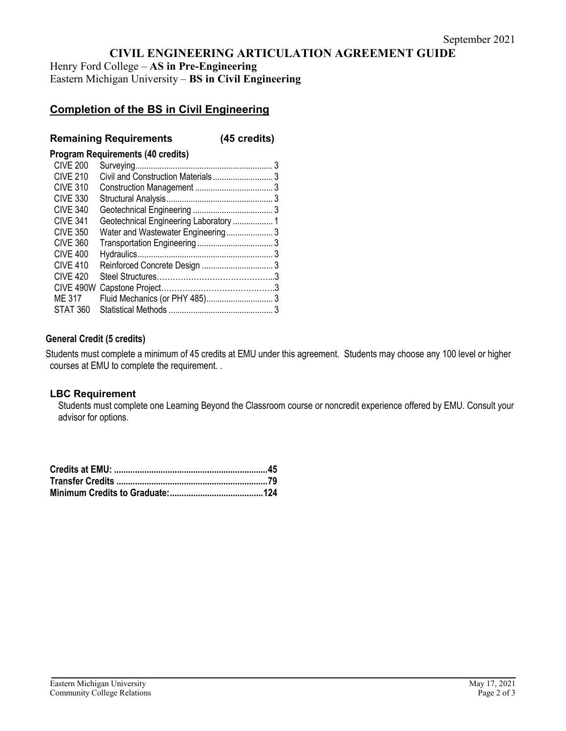# **CIVIL ENGINEERING ARTICULATION AGREEMENT GUIDE**

Henry Ford College – **AS in Pre-Engineering** Eastern Michigan University – **BS in Civil Engineering**

# **Completion of the BS in Civil Engineering**

## **Remaining Requirements (45 credits)**

#### **Program Requirements (40 credits)**

| <b>CIVE 200</b> |                                        |  |
|-----------------|----------------------------------------|--|
| <b>CIVE 210</b> |                                        |  |
| <b>CIVE 310</b> |                                        |  |
| <b>CIVE 330</b> |                                        |  |
| <b>CIVE 340</b> |                                        |  |
| <b>CIVE 341</b> | Geotechnical Engineering Laboratory  1 |  |
| <b>CIVE 350</b> | Water and Wastewater Engineering3      |  |
| <b>CIVE 360</b> |                                        |  |
| <b>CIVE 400</b> |                                        |  |
| <b>CIVE 410</b> |                                        |  |
| <b>CIVE 420</b> |                                        |  |
| CIVE 490W       |                                        |  |
| ME 317          |                                        |  |
| STAT 360        |                                        |  |

## **General Credit (5 credits)**

Students must complete a minimum of 45 credits at EMU under this agreement. Students may choose any 100 level or higher courses at EMU to complete the requirement. .

### **LBC Requirement**

Students must complete one Learning Beyond the Classroom course or noncredit experience offered by EMU. Consult your advisor for options.